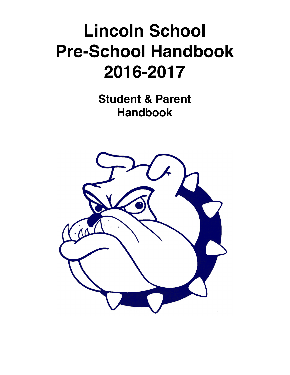# **Lincoln School Pre-School Handbook 2016-2017**

**Student & Parent Handbook**

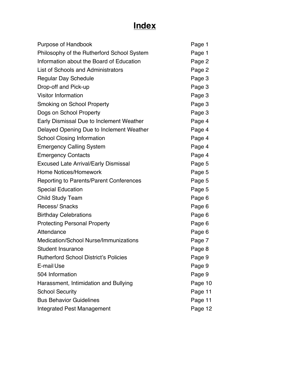## **Index**

| Purpose of Handbook                            | Page 1  |
|------------------------------------------------|---------|
| Philosophy of the Rutherford School System     | Page 1  |
| Information about the Board of Education       | Page 2  |
| List of Schools and Administrators             | Page 2  |
| <b>Regular Day Schedule</b>                    | Page 3  |
| Drop-off and Pick-up                           | Page 3  |
| <b>Visitor Information</b>                     | Page 3  |
| <b>Smoking on School Property</b>              | Page 3  |
| Dogs on School Property                        | Page 3  |
| Early Dismissal Due to Inclement Weather       | Page 4  |
| Delayed Opening Due to Inclement Weather       | Page 4  |
| <b>School Closing Information</b>              | Page 4  |
| <b>Emergency Calling System</b>                | Page 4  |
| <b>Emergency Contacts</b>                      | Page 4  |
| <b>Excused Late Arrival/Early Dismissal</b>    | Page 5  |
| <b>Home Notices/Homework</b>                   | Page 5  |
| <b>Reporting to Parents/Parent Conferences</b> | Page 5  |
| <b>Special Education</b>                       | Page 5  |
| <b>Child Study Team</b>                        | Page 6  |
| Recess/ Snacks                                 | Page 6  |
| <b>Birthday Celebrations</b>                   | Page 6  |
| <b>Protecting Personal Property</b>            | Page 6  |
| Attendance                                     | Page 6  |
| <b>Medication/School Nurse/Immunizations</b>   | Page 7  |
| <b>Student Insurance</b>                       | Page 8  |
| <b>Rutherford School District's Policies</b>   | Page 9  |
| E-mail Use                                     | Page 9  |
| 504 Information                                | Page 9  |
| Harassment, Intimidation and Bullying          | Page 10 |
| <b>School Security</b>                         | Page 11 |
| <b>Bus Behavior Guidelines</b>                 | Page 11 |
| <b>Integrated Pest Management</b>              | Page 12 |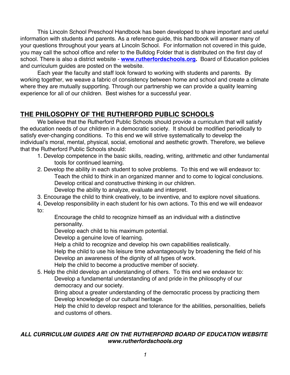This Lincoln School Preschool Handbook has been developed to share important and useful information with students and parents. As a reference guide, this handbook will answer many of your questions throughout your years at Lincoln School. For information not covered in this guide, you may call the school office and refer to the Bulldog Folder that is distributed on the first day of school. There is also a district website - **www.rutherfordschools.org.** Board of Education policies and curriculum guides are posted on the website.

Each year the faculty and staff look forward to working with students and parents. By working together, we weave a fabric of consistency between home and school and create a climate where they are mutually supporting. Through our partnership we can provide a quality learning experience for all of our children. Best wishes for a successful year.

## **THE PHILOSOPHY OF THE RUTHERFORD PUBLIC SCHOOLS**

We believe that the Rutherford Public Schools should provide a curriculum that will satisfy the education needs of our children in a democratic society. It should be modified periodically to satisfy ever-changing conditions. To this end we will strive systematically to develop the individual's moral, mental, physical, social, emotional and aesthetic growth. Therefore, we believe that the Rutherford Public Schools should:

- 1. Develop competence in the basic skills, reading, writing, arithmetic and other fundamental tools for continued learning.
- 2. Develop the ability in each student to solve problems. To this end we will endeavor to: Teach the child to think in an organized manner and to come to logical conclusions. Develop critical and constructive thinking in our children. Develop the ability to analyze, evaluate and interpret.
- 3. Encourage the child to think creatively, to be inventive, and to explore novel situations.

4. Develop responsibility in each student for his own actions. To this end we will endeavor to:

Encourage the child to recognize himself as an individual with a distinctive personality.

Develop each child to his maximum potential.

Develop a genuine love of learning.

Help a child to recognize and develop his own capabilities realistically.

Help the child to use his leisure time advantageously by broadening the field of his Develop an awareness of the dignity of all types of work.

Help the child to become a productive member of society.

5. Help the child develop an understanding of others. To this end we endeavor to:

Develop a fundamental understanding of and pride in the philosophy of our democracy and our society.

Bring about a greater understanding of the democratic process by practicing them Develop knowledge of our cultural heritage.

Help the child to develop respect and tolerance for the abilities, personalities, beliefs and customs of others.

#### *ALL CURRICULUM GUIDES ARE ON THE RUTHERFORD BOARD OF EDUCATION WEBSITE www.rutherfordschools.org*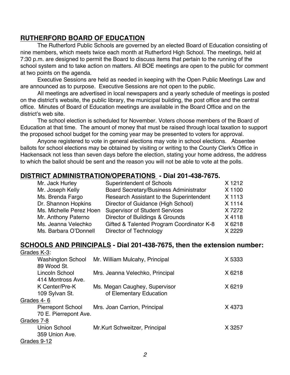#### **RUTHERFORD BOARD OF EDUCATION**

The Rutherford Public Schools are governed by an elected Board of Education consisting of nine members, which meets twice each month at Rutherford High School. The meetings, held at 7:30 p.m. are designed to permit the Board to discuss items that pertain to the running of the school system and to take action on matters. All BOE meetings are open to the public for comment at two points on the agenda.

Executive Sessions are held as needed in keeping with the Open Public Meetings Law and are announced as to purpose. Executive Sessions are not open to the public.

All meetings are advertised in local newspapers and a yearly schedule of meetings is posted on the district's website, the public library, the municipal building, the post office and the central office. Minutes of Board of Education meetings are available in the Board Office and on the district's web site.

The school election is scheduled for November. Voters choose members of the Board of Education at that time. The amount of money that must be raised through local taxation to support the proposed school budget for the coming year may be presented to voters for approval.

Anyone registered to vote in general elections may vote in school elections. Absentee ballots for school elections may be obtained by visiting or writing to the County Clerk's Office in Hackensack not less than seven days before the election, stating your home address, the address to which the ballot should be sent and the reason you will not be able to vote at the polls.

#### **DISTRICT ADMINISTRATION/OPERATIONS - Dial 201-438-7675.**

| Mr. Jack Hurley         | <b>Superintendent of Schools</b>              | X 1212 |
|-------------------------|-----------------------------------------------|--------|
| Mr. Joseph Kelly        | <b>Board Secretary/Business Administrator</b> | X 1100 |
| Ms. Brenda Fargo        | Research Assistant to the Superintendent      | X 1113 |
| Dr. Shannon Hopkins     | Director of Guidance (High School)            | X 1114 |
| Ms. Michelle Perez Hoen | <b>Supervisor of Student Services</b>         | X 7272 |
| Mr. Anthony Paterno     | Director of Buildings & Grounds               | X4118  |
| Ms. Jeanna Velechko     | Gifted & Talented Program Coordinator K-8     | X 6218 |
| Ms. Barbara O'Donnell   | Director of Technology                        | X 2229 |

## **SCHOOLS AND PRINCIPALS - Dial 201-438-7675, then the extension number:**

| Grades K-3: |  |
|-------------|--|
|             |  |

| <b>Washington School</b> | Mr. William Mulcahy, Principal  | X 5333 |
|--------------------------|---------------------------------|--------|
| 89 Wood St.              |                                 |        |
| Lincoln School           | Mrs. Jeanna Velechko, Principal | X 6218 |
| 414 Montross Ave.        |                                 |        |
| K Center/Pre-K           | Ms. Megan Caughey, Supervisor   | X 6219 |
| 109 Sylvan St.           | of Elementary Education         |        |
| Grades 4-6               |                                 |        |
| <b>Pierrepont School</b> | Mrs. Joan Carrion, Principal    | X4373  |
| 70 E. Pierrepont Ave.    |                                 |        |
| Grades 7-8               |                                 |        |
| <b>Union School</b>      | Mr.Kurt Schweitzer, Principal   | X 3257 |
| 359 Union Ave.           |                                 |        |
| Grades 9-12              |                                 |        |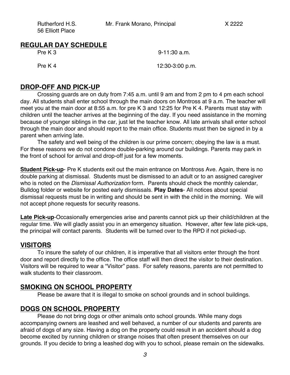| Rutherford H.S.  | Mr. Frank Morano, Principal | X 2222 |
|------------------|-----------------------------|--------|
| 56 Elliott Place |                             |        |

| <b>REGULAR DAY SCHEDULE</b> |
|-----------------------------|
|-----------------------------|

Pre K 3 9-11:30 a.m.

Pre K 4 12:30-3:00 p.m.

#### **DROP-OFF AND PICK-UP**

Crossing guards are on duty from 7:45 a.m. until 9 am and from 2 pm to 4 pm each school day. All students shall enter school through the main doors on Montross at 9 a.m. The teacher will meet you at the main door at 8:55 a.m. for pre K 3 and 12:25 for Pre K 4. Parents must stay with children until the teacher arrives at the beginning of the day. If you need assistance in the morning because of younger siblings in the car, just let the teacher know. All late arrivals shall enter school through the main door and should report to the main office. Students must then be signed in by a parent when arriving late.

The safety and well being of the children is our prime concern; obeying the law is a must. For these reasons we do not condone double-parking around our buildings. Parents may park in the front of school for arrival and drop-off just for a few moments.

**Student Pick-up-** Pre K students exit out the main entrance on Montross Ave. Again, there is no double parking at dismissal. Students must be dismissed to an adult or to an assigned caregiver who is noted on the *Dismissal Authorization* form. Parents should check the monthly calendar, Bulldog folder or website for posted early dismissals. **Play Dates**- All notices about special dismissal requests must be in writing and should be sent in with the child in the morning. We will not accept phone requests for security reasons.

**Late Pick-up**-Occasionally emergencies arise and parents cannot pick up their child/children at the regular time. We will gladly assist you in an emergency situation. However, after few late pick-ups, the principal will contact parents. Students will be turned over to the RPD if not picked-up.

#### **VISITORS**

To insure the safety of our children, it is imperative that all visitors enter through the front door and report directly to the office. The office staff will then direct the visitor to their destination. Visitors will be required to wear a "Visitor" pass. For safety reasons, parents are not permitted to walk students to their classroom.

#### **SMOKING ON SCHOOL PROPERTY**

Please be aware that it is illegal to smoke on school grounds and in school buildings.

#### **DOGS ON SCHOOL PROPERTY**

Please do not bring dogs or other animals onto school grounds. While many dogs accompanying owners are leashed and well behaved, a number of our students and parents are afraid of dogs of any size. Having a dog on the property could result in an accident should a dog become excited by running children or strange noises that often present themselves on our grounds. If you decide to bring a leashed dog with you to school, please remain on the sidewalks.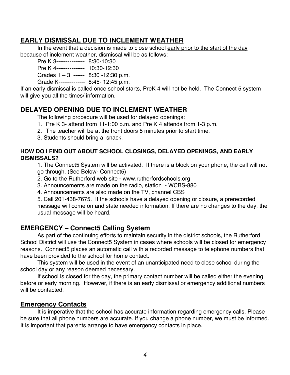## **EARLY DISMISSAL DUE TO INCLEMENT WEATHER**

In the event that a decision is made to close school early prior to the start of the day because of inclement weather, dismissal will be as follows:

Pre K 3--------------- 8:30-10:30

Pre K 4--------------- 10:30-12:30

Grades 1 – 3 ------ 8:30 -12:30 p.m.

Grade K-------------- 8:45- 12:45 p.m.

If an early dismissal is called once school starts, PreK 4 will not be held. The Connect 5 system will give you all the times/ information.

## **DELAYED OPENING DUE TO INCLEMENT WEATHER**

The following procedure will be used for delayed openings:

- 1. Pre K 3- attend from 11-1:00 p.m. and Pre K 4 attends from 1-3 p.m.
- 2. The teacher will be at the front doors 5 minutes prior to start time,
- 3. Students should bring a snack.

#### **HOW DO I FIND OUT ABOUT SCHOOL CLOSINGS, DELAYED OPENINGS, AND EARLY DISMISSALS?**

1. The Connect5 System will be activated. If there is a block on your phone, the call will not go through. (See Below- Connect5)

- 2. Go to the Rutherford web site www.rutherfordschools.org
- 3. Announcements are made on the radio, station WCBS-880
- 4. Announcements are also made on the TV, channel CBS

5. Call 201-438-7675. If the schools have a delayed opening or closure, a prerecorded message will come on and state needed information. If there are no changes to the day, the usual message will be heard.

## **EMERGENCY – Connect5 Calling System**

As part of the continuing efforts to maintain security in the district schools, the Rutherford School District will use the Connect5 System in cases where schools will be closed for emergency reasons. Connect5 places an automatic call with a recorded message to telephone numbers that have been provided to the school for home contact.

This system will be used in the event of an unanticipated need to close school during the school day or any reason deemed necessary.

If school is closed for the day, the primary contact number will be called either the evening before or early morning. However, if there is an early dismissal or emergency additional numbers will be contacted.

## **Emergency Contacts**

It is imperative that the school has accurate information regarding emergency calls. Please be sure that all phone numbers are accurate. If you change a phone number, we must be informed. It is important that parents arrange to have emergency contacts in place.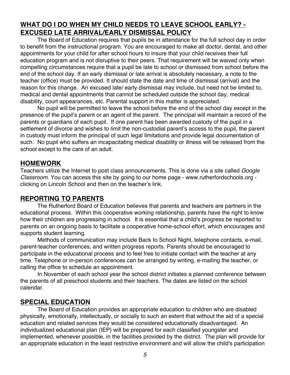## **WHAT DO I DO WHEN MY CHILD NEEDS TO LEAVE SCHOOL EARLY? - EXCUSED LATE ARRIVAL/EARLY DISMISSAL POLICY**

The Board of Education requires that pupils be in attendance for the full school day in order to benefit from the instructional program. You are encouraged to make all doctor, dental, and other appointments for your child for after school hours to insure that your child receives their full education program and is not disruptive to their peers. That requirement will be waived only when compelling circumstances require that a pupil be late to school or dismissed from school before the end of the school day. If an early dismissal or late arrival is absolutely necessary, a note to the teacher (office) must be provided. It should state the date and time of dismissal (arrival) and the reason for this change. An excused late/ early dismissal may include, but need not be limited to, medical and dental appointments that cannot be scheduled outside the school day, medical disability, court appearances, etc. Parental support in this matter is appreciated.

No pupil will be permitted to leave the school before the end of the school day except in the presence of the pupil's parent or an agent of the parent. The principal will maintain a record of the parents or guardians of each pupil. If one parent has been awarded custody of the pupil in a settlement of divorce and wishes to limit the non-custodial parent's access to the pupil, the parent in custody must inform the principal of such legal limitations and provide legal documentation of such. No pupil who suffers an incapacitating medical disability or illness will be released from the school except to the care of an adult.

#### **HOMEWORK**

Teachers utilize the Internet to post class announcements. This is done via a site called *Google Classroom*. You can access this site by going to our home page - www.rutherfordschools.org clicking on Lincoln School and then on the teacher's link.

#### **REPORTING TO PARENTS**

The Rutherford Board of Education believes that parents and teachers are partners in the educational process. Within this cooperative working relationship, parents have the right to know how their children are progressing in school. It is essential that a child's progress be reported to parents on an ongoing basis to facilitate a cooperative home-school effort, which encourages and supports student learning.

Methods of communication may include Back to School Night, telephone contacts, e-mail, parent-teacher conferences, and written progress reports. Parents should be encouraged to participate in the educational process and to feel free to initiate contact with the teacher at any time. Telephone or in-person conferences can be arranged by writing, e-mailing the teacher, or calling the office to schedule an appointment.

In November of each school year the school district initiates a planned conference between the parents of all preschool students and their teachers. The dates are listed on the school calendar.

#### **SPECIAL EDUCATION**

The Board of Education provides an appropriate education to children who are disabled physically, emotionally, intellectually, or socially to such an extent that without the aid of a special education and related services they would be considered educationally disadvantaged. An individualized educational plan (IEP) will be prepared for each classified youngster and implemented, whenever possible, in the facilities provided by the district. The plan will provide for an appropriate education in the least restrictive environment and will allow the child's participation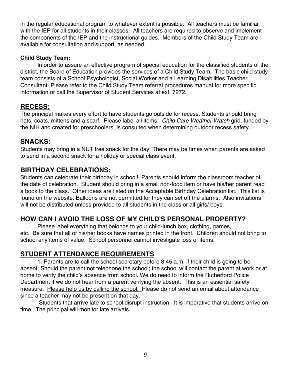in the regular educational program to whatever extent is possible. All teachers must be familiar with the IEP for all students in their classes. All teachers are required to observe and implement the components of the IEP and the instructional guides. Members of the Child Study Team are available for consultation and support, as needed.

#### **Child Study Team:**

In order to assure an effective program of special education for the classified students of the district, the Board of Education provides the services of a Child Study Team. The basic child study team consists of a School Psychologist, Social Worker and a Learning Disabilities Teacher Consultant. Please refer to the Child Study Team referral procedures manual for more specific information or call the Supervisor of Student Services at ext. 7272.

## **RECESS:**

The principal makes every effort to have students go outside for recess. Students should bring hats, coats, mittens and a scarf. Please label all items. *Child Care Weather Watch* grid, funded by the NIH and created for preschoolers, is consulted when determining outdoor recess safety.

## **SNACKS:**

Students may bring in a NUT free snack for the day. There may be times when parents are asked to send in a second snack for a holiday or special class event.

## **BIRTHDAY CELEBRATIONS:**

Students can celebrate their birthday in school! Parents should inform the classroom teacher of the date of celebration. Student should bring in a small non-food item or have his/her parent read a book to the class. Other ideas are listed on the Acceptable Birthday Celebration list. This list is found on the website. Balloons are not permitted for they can set off the alarms. Also invitations will not be distributed unless provided to all students in the class or all girls/ boys.

## **HOW CAN I AVOID THE LOSS OF MY CHILD'S PERSONAL PROPERTY?**

Please label everything that belongs to your child-lunch box, clothing, games, etc. Be sure that all of his/her books have names printed in the front. Children should not bring to school any items of value. School personnel cannot investigate loss of items.

## **STUDENT ATTENDANCE REQUIREMENTS**

1. Parents are to call the school secretary before 8:45 a.m. if their child is going to be absent. Should the parent not telephone the school; the school will contact the parent at work or at home to verify the child's absence from school. We do need to inform the Rutherford Police Department if we do not hear from a parent verifying the absent. This is an essential safety measure. Please help us by calling the school. Please do not send an email about attendance since a teacher may not be present on that day.

Students that arrive late to school disrupt instruction. It is imperative that students arrive on time. The principal will monitor late arrivals.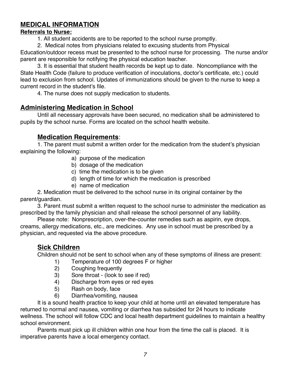## **MEDICAL INFORMATION**

#### **Referrals to Nurse:**

1. All student accidents are to be reported to the school nurse promptly.

2. Medical notes from physicians related to excusing students from Physical

Education/outdoor recess must be presented to the school nurse for processing. The nurse and/or parent are responsible for notifying the physical education teacher.

3. It is essential that student health records be kept up to date. Noncompliance with the State Health Code (failure to produce verification of inoculations, doctor's certificate, etc.) could lead to exclusion from school. Updates of immunizations should be given to the nurse to keep a current record in the student's file.

4. The nurse does not supply medication to students.

## **Administering Medication in School**

Until all necessary approvals have been secured, no medication shall be administered to pupils by the school nurse. Forms are located on the school health website.

## **Medication Requirements**:

1. The parent must submit a written order for the medication from the student's physician explaining the following:

- a) purpose of the medication
- b) dosage of the medication
- c) time the medication is to be given
- d) length of time for which the medication is prescribed
- e) name of medication

2. Medication must be delivered to the school nurse in its original container by the parent/guardian.

3. Parent must submit a written request to the school nurse to administer the medication as prescribed by the family physician and shall release the school personnel of any liability.

Please note: Nonprescription, over-the-counter remedies such as aspirin, eye drops, creams, allergy medications, etc., are medicines. Any use in school must be prescribed by a physician, and requested via the above procedure.

## **Sick Children**

Children should not be sent to school when any of these symptoms of illness are present:

- 1) Temperature of 100 degrees F or higher
- 2) Coughing frequently
- 3) Sore throat (look to see if red)
- 4) Discharge from eyes or red eyes
- 5) Rash on body, face
- 6) Diarrhea/vomiting, nausea

It is a sound health practice to keep your child at home until an elevated temperature has returned to normal and nausea, vomiting or diarrhea has subsided for 24 hours to indicate wellness. The school will follow CDC and local health department guidelines to maintain a healthy school environment.

Parents must pick up ill children within one hour from the time the call is placed. It is imperative parents have a local emergency contact.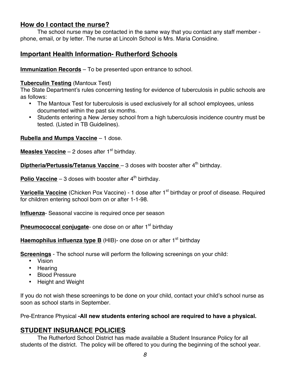### **How do I contact the nurse?**

The school nurse may be contacted in the same way that you contact any staff member phone, email, or by letter. The nurse at Lincoln School is Mrs. Maria Considine.

## **Important Health Information- Rutherford Schools**

**Immunization Records** – To be presented upon entrance to school.

#### **Tuberculin Testing** (Mantoux Test)

The State Department's rules concerning testing for evidence of tuberculosis in public schools are as follows:

- The Mantoux Test for tuberculosis is used exclusively for all school employees, unless documented within the past six months.
- Students entering a New Jersey school from a high tuberculosis incidence country must be tested. (Listed in TB Guidelines).

**Rubella and Mumps Vaccine** – 1 dose.

**Measles Vaccine** – 2 doses after  $1<sup>st</sup>$  birthday.

**Diptheria/Pertussis/Tetanus Vaccine** – 3 doses with booster after 4<sup>th</sup> birthday.

**Polio Vaccine** – 3 doses with booster after  $4<sup>th</sup>$  birthday.

**Varicella Vaccine** (Chicken Pox Vaccine) - 1 dose after 1<sup>st</sup> birthday or proof of disease. Required for children entering school born on or after 1-1-98.

**Influenza**- Seasonal vaccine is required once per season

**Pneumococcal conjugate-** one dose on or after 1<sup>st</sup> birthday

**Haemophilus influenza type B** (HIB)- one dose on or after 1<sup>st</sup> birthday

**Screenings** - The school nurse will perform the following screenings on your child:

- Vision
- Hearing
- Blood Pressure
- Height and Weight

If you do not wish these screenings to be done on your child, contact your child's school nurse as soon as school starts in September.

Pre-Entrance Physical **-All new students entering school are required to have a physical.**

## **STUDENT INSURANCE POLICIES**

The Rutherford School District has made available a Student Insurance Policy for all students of the district. The policy will be offered to you during the beginning of the school year.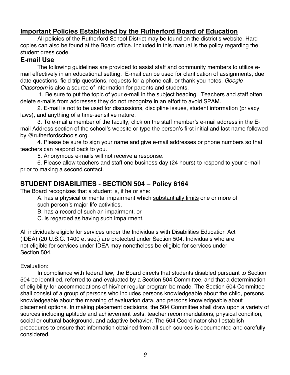## **Important Policies Established by the Rutherford Board of Education**

All policies of the Rutherford School District may be found on the district's website. Hard copies can also be found at the Board office. Included in this manual is the policy regarding the student dress code.

#### **E-mail Use**

The following guidelines are provided to assist staff and community members to utilize email effectively in an educational setting. E-mail can be used for clarification of assignments, due date questions, field trip questions, requests for a phone call, or thank you notes. *Google Classroom* is also a source of information for parents and students.

1. Be sure to put the topic of your e-mail in the subject heading. Teachers and staff often delete e-mails from addresses they do not recognize in an effort to avoid SPAM.

2. E-mail is not to be used for discussions, discipline issues, student information (privacy laws), and anything of a time-sensitive nature.

3. To e-mail a member of the faculty, click on the staff member's e-mail address in the Email Address section of the school's website or type the person's first initial and last name followed by @rutherfordschools.org.

4. Please be sure to sign your name and give e-mail addresses or phone numbers so that teachers can respond back to you.

5. Anonymous e-mails will not receive a response.

6. Please allow teachers and staff one business day (24 hours) to respond to your e-mail prior to making a second contact.

#### **STUDENT DISABILITIES - SECTION 504 – Policy 6164**

The Board recognizes that a student is, if he or she:

A. has a physical or mental impairment which substantially limits one or more of such person's major life activities,

B. has a record of such an impairment, or

C. is regarded as having such impairment.

All individuals eligible for services under the Individuals with Disabilities Education Act (IDEA) (20 U.S.C. 1400 et seq.) are protected under Section 504. Individuals who are not eligible for services under IDEA may nonetheless be eligible for services under Section 504.

#### Evaluation:

In compliance with federal law, the Board directs that students disabled pursuant to Section 504 be identified, referred to and evaluated by a Section 504 Committee, and that a determination of eligibility for accommodations of his/her regular program be made. The Section 504 Committee shall consist of a group of persons who includes persons knowledgeable about the child, persons knowledgeable about the meaning of evaluation data, and persons knowledgeable about placement options. In making placement decisions, the 504 Committee shall draw upon a variety of sources including aptitude and achievement tests, teacher recommendations, physical condition, social or cultural background, and adaptive behavior. The 504 Coordinator shall establish procedures to ensure that information obtained from all such sources is documented and carefully considered.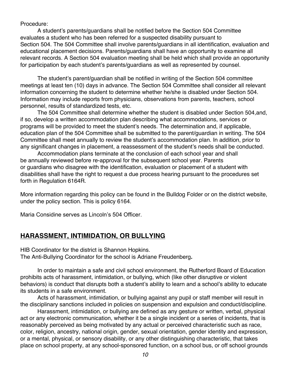Procedure:

A student's parents/guardians shall be notified before the Section 504 Committee evaluates a student who has been referred for a suspected disability pursuant to Section 504. The 504 Committee shall involve parents/guardians in all identification, evaluation and educational placement decisions. Parents/guardians shall have an opportunity to examine all relevant records. A Section 504 evaluation meeting shall be held which shall provide an opportunity for participation by each student's parents/guardians as well as represented by counsel.

The student's parent/guardian shall be notified in writing of the Section 504 committee meetings at least ten (10) days in advance. The Section 504 Committee shall consider all relevant information concerning the student to determine whether he/she is disabled under Section 504. Information may include reports from physicians, observations from parents, teachers, school personnel, results of standardized tests, etc.

The 504 Committee shall determine whether the student is disabled under Section 504,and, if so, develop a written accommodation plan describing what accommodations, services or programs will be provided to meet the student's needs. The determination and, if applicable, education plan of the 504 Committee shall be submitted to the parent/guardian in writing. The 504 Committee shall meet annually to review the student's accommodation plan. In addition, prior to any significant changes in placement, a reassessment of the student's needs shall be conducted.

Accommodation plans terminate at the conclusion of each school year and shall be annually reviewed before re-approval for the subsequent school year. Parents or guardians who disagree with the identification, evaluation or placement of a student with disabilities shall have the right to request a due process hearing pursuant to the procedures set forth in Regulation 6164R.

More information regarding this policy can be found in the Bulldog Folder or on the district website, under the policy section. This is policy 6164.

Maria Considine serves as Lincoln's 504 Officer.

#### **HARASSMENT, INTIMIDATION, OR BULLYING**

HIB Coordinator for the district is Shannon Hopkins. The Anti-Bullying Coordinator for the school is Adriane Freudenberg**.**

In order to maintain a safe and civil school environment, the Rutherford Board of Education prohibits acts of harassment, intimidation, or bullying, which (like other disruptive or violent behaviors) is conduct that disrupts both a student's ability to learn and a school's ability to educate its students in a safe environment.

Acts of harassment, intimidation, or bullying against any pupil or staff member will result in the disciplinary sanctions included in policies on suspension and expulsion and conduct/discipline.

Harassment, intimidation, or bullying are defined as any gesture or written, verbal, physical act or any electronic communication, whether it be a single incident or a series of incidents, that is reasonably perceived as being motivated by any actual or perceived characteristic such as race, color, religion, ancestry, national origin, gender, sexual orientation, gender identity and expression, or a mental, physical, or sensory disability, or any other distinguishing characteristic, that takes place on school property, at any school-sponsored function, on a school bus, or off school grounds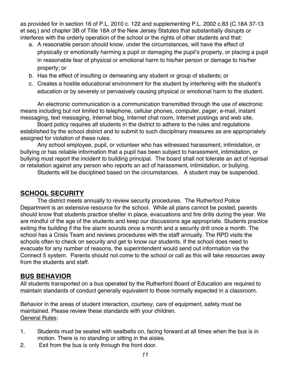as provided for in section 16 of P.L. 2010 c. 122 and supplementing P.L. 2002 c.83 (C.18A 37-13 et seq.) and chapter 3B of Title 18A of the New Jersey Statutes that substantially disrupts or interferes with the orderly operation of the school or the rights of other students and that:

- a. A reasonable person should know, under the circumstances, will have the effect of physically or emotionally harming a pupil or damaging the pupil's property, or placing a pupil in reasonable fear of physical or emotional harm to his/her person or damage to his/her property; or
- b. Has the effect of insulting or demeaning any student or group of students; or
- c. Creates a hostile educational environment for the student by interfering with the student's education or by severely or pervasively causing physical or emotional harm to the student.

An electronic communication is a communication transmitted through the use of electronic means including but not limited to telephone, cellular phones, computer, pager, e-mail, instant messaging, text messaging, Internet blog, Internet chat room, Internet postings and web site.

Board policy requires all students in the district to adhere to the rules and regulations established by the school district and to submit to such disciplinary measures as are appropriately assigned for violation of these rules.

Any school employee, pupil, or volunteer who has witnessed harassment, intimidation, or bullying or has reliable information that a pupil has been subject to harassment, intimidation, or bullying must report the incident to building principal. The board shall not tolerate an act of reprisal or retaliation against any person who reports an act of harassment, intimidation, or bullying.

Students will be disciplined based on the circumstances. A student may be suspended.

## **SCHOOL SECURITY**

The district meets annually to review security procedures. The Rutherford Police Department is an extensive resource for the school. While all plans cannot be posted, parents should know that students practice shelter in place, evacuations and fire drills during the year. We are mindful of the age of the students and keep our discussions age appropriate. Students practice exiting the building if the fire alarm sounds once a month and a security drill once a month. The school has a Crisis Team and reviews procedures with the staff annually. The RPD visits the schools often to check on security and get to know our students. If the school does need to evacuate for any number of reasons, the superintendent would send out information via the Connect 5 system. Parents should not come to the school or call as this will take resources away from the students and staff.

#### **BUS BEHAVIOR**

All students transported on a bus operated by the Rutherford Board of Education are required to maintain standards of conduct generally equivalent to those normally expected in a classroom.

Behavior in the areas of student interaction, courtesy, care of equipment, safety must be maintained. Please review these standards with your children. General Rules:

- 1. Students must be seated with seatbelts on, facing forward at all times when the bus is in motion. There is no standing or sitting in the aisles.
- 2. Exit from the bus is only through the front door.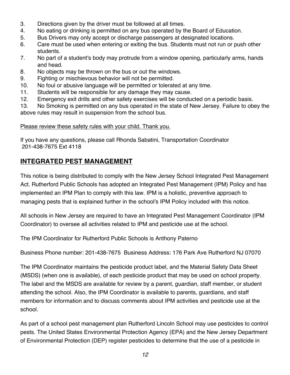- 3. Directions given by the driver must be followed at all times.
- 4. No eating or drinking is permitted on any bus operated by the Board of Education.
- 5. Bus Drivers may only accept or discharge passengers at designated locations.
- 6. Care must be used when entering or exiting the bus. Students must not run or push other students.
- 7. No part of a student's body may protrude from a window opening, particularly arms, hands and head.
- 8. No objects may be thrown on the bus or out the windows.
- 9. Fighting or mischievous behavior will not be permitted.
- 10. No foul or abusive language will be permitted or tolerated at any time.
- 11. Students will be responsible for any damage they may cause.
- 12. Emergency exit drills and other safety exercises will be conducted on a periodic basis.

13. No Smoking is permitted on any bus operated in the state of New Jersey. Failure to obey the above rules may result in suspension from the school bus.

#### Please review these safety rules with your child. Thank you.

If you have any questions, please call Rhonda Sabatini, Transportation Coordinator 201-438-7675 Ext 4118

## **INTEGRATED PEST MANAGEMENT**

This notice is being distributed to comply with the New Jersey School Integrated Pest Management Act. Rutherford Public Schools has adopted an Integrated Pest Management (IPM) Policy and has implemented an IPM Plan to comply with this law. IPM is a holistic, preventive approach to managing pests that is explained further in the school's IPM Policy included with this notice.

All schools in New Jersey are required to have an Integrated Pest Management Coordinator (IPM Coordinator) to oversee all activities related to IPM and pesticide use at the school.

The IPM Coordinator for Rutherford Public Schools is Anthony Paterno

Business Phone number: 201-438-7675 Business Address: 176 Park Ave Rutherford NJ 07070

The IPM Coordinator maintains the pesticide product label, and the Material Safety Data Sheet (MSDS) (when one is available), of each pesticide product that may be used on school property. The label and the MSDS are available for review by a parent, guardian, staff member, or student attending the school. Also, the IPM Coordinator is available to parents, guardians, and staff members for information and to discuss comments about IPM activities and pesticide use at the school.

As part of a school pest management plan Rutherford Lincoln School may use pesticides to control pests. The United States Environmental Protection Agency (EPA) and the New Jersey Department of Environmental Protection (DEP) register pesticides to determine that the use of a pesticide in